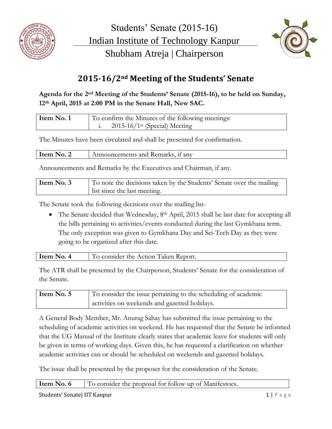



## **2015-16/2nd Meeting of the Students' Senate**

## **Agenda for the 2nd Meeting of the Students' Senate (2015-16), to be held on Sunday, 12th April, 2015 at 2:00 PM in the Senate Hall, New SAC.**

| Item No. 1 | To confirm the Minutes of the following meetings: |
|------------|---------------------------------------------------|
|            | $2015 - 16/1$ <sup>st</sup> (Special) Meeting     |

The Minutes have been circulated and shall be presented for confirmation.

| Item No. 2 | Announcements and Remarks, if any |
|------------|-----------------------------------|
|            |                                   |

Announcements and Remarks by the Executives and Chairman, if any.

| Item No. 3 | To note the decisions taken by the Students' Senate over the mailing |
|------------|----------------------------------------------------------------------|
|            | list since the last meeting.                                         |

The Senate took the following decisions over the mailing list-

• The Senate decided that Wednesday, 8<sup>th</sup> April, 2015 shall be last date for accepting all the bills pertaining to activities/events conducted during the last Gymkhana term. The only exception was given to Gymkhana Day and Sci-Tech Day as they were going to be organized after this date.

| $\sim$ No. 4<br>Item. | To consider the Action Taken Report. |
|-----------------------|--------------------------------------|
|                       |                                      |
|                       |                                      |

The ATR shall be presented by the Chairperson, Students' Senate for the consideration of the Senate.

| Item No. 5 | To consider the issue pertaining to the scheduling of academic |
|------------|----------------------------------------------------------------|
|            | activities on weekends and gazetted holidays.                  |

A General Body Member, Mr. Anurag Sahay has submitted the issue pertaining to the scheduling of academic activities on weekend. He has requested that the Senate be informed that the UG Manual of the Institute clearly states that academic leave for students will only be given in terms of working days. Given this, he has requested a clarification on whether academic activities can or should be scheduled on weekends and gazetted holidays.

The issue shall be presented by the proposer for the consideration of the Senate.

**Item No. 6** To consider the proposal for follow up of Manifestoes.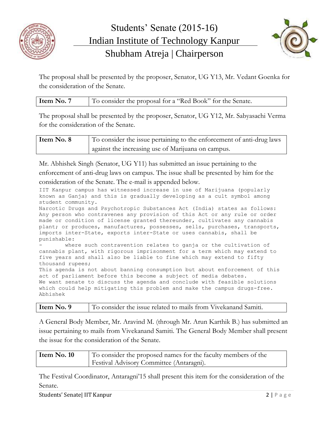



The proposal shall be presented by the proposer, Senator, UG Y13, Mr. Vedant Goenka for the consideration of the Senate.

| Item No. 7 | To consider the proposal for a "Red Book" for the Senate. |
|------------|-----------------------------------------------------------|
|            |                                                           |

The proposal shall be presented by the proposer, Senator, UG Y12, Mr. Sabyasachi Verma for the consideration of the Senate.

| Item No. 8 | To consider the issue pertaining to the enforcement of anti-drug laws |
|------------|-----------------------------------------------------------------------|
|            | against the increasing use of Marijuana on campus.                    |

Mr. Abhishek Singh (Senator, UG Y11) has submitted an issue pertaining to the enforcement of anti-drug laws on campus. The issue shall be presented by him for the consideration of the Senate. The e-mail is appended below.

IIT Kanpur campus has witnessed increase in use of Marijuana (popularly known as Ganja) and this is gradually developing as a cult symbol among student community.

Narcotic Drugs and Psychotropic Substances Act (India) states as follows: Any person who contravenes any provision of this Act or any rule or order made or condition of license granted thereunder, cultivates any cannabis plant; or produces, manufactures, possesses, sells, purchases, transports, imports inter-State, exports inter-State or uses cannabis, shall be punishable:

where such contravention relates to ganja or the cultivation of cannabis plant, with rigorous imprisonment for a term which may extend to five years and shall also be liable to fine which may extend to fifty thousand rupees;

This agenda is not about banning consumption but about enforcement of this act of parliament before this become a subject of media debates. We want senate to discuss the agenda and conclude with feasible solutions which could help mitigating this problem and make the campus drugs-free. Abhishek

A General Body Member, Mr. Aravind M. (through Mr. Arun Karthik B.) has submitted an issue pertaining to mails from Vivekanand Samiti. The General Body Member shall present the issue for the consideration of the Senate.

| Item No. 10 | To consider the proposed names for the faculty members of the |
|-------------|---------------------------------------------------------------|
|             | <b>Festival Advisory Committee (Antaragni).</b>               |

The Festival Coordinator, Antaragni'15 shall present this item for the consideration of the Senate.

Students' Senate| IIT Kanpur 2 | P a g e 2 | P a g e 2 | P a g e 2 | P a g e 2 | P a g e 2 | P a g e 2 | P a g e 2 | P a g e 2 | P a g e 2 | P a g e 2 | P a g e 2 | P a g e 2 | P a g e 2 | P a g e 2 | P a g e 2 | P a g e 2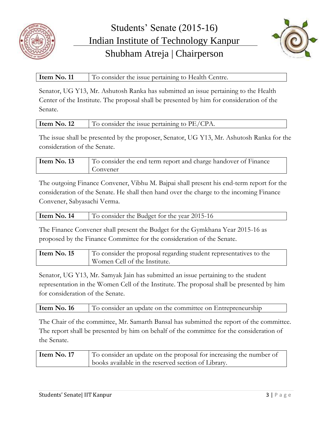



## **Item No. 11** To consider the issue pertaining to Health Centre.

Senator, UG Y13, Mr. Ashutosh Ranka has submitted an issue pertaining to the Health Center of the Institute. The proposal shall be presented by him for consideration of the Senate.

| Item | the contract of the contract of the contract of the contract of the contract of the contract of the contract of |
|------|-----------------------------------------------------------------------------------------------------------------|
| .12  | consider the issue pertaining to $PE/c$ .                                                                       |

The issue shall be presented by the proposer, Senator, UG Y13, Mr. Ashutosh Ranka for the consideration of the Senate.

| Item No. 13 | To consider the end term report and charge handover of Finance |
|-------------|----------------------------------------------------------------|
|             | Convener                                                       |

The outgoing Finance Convener, Vibhu M. Bajpai shall present his end-term report for the consideration of the Senate. He shall then hand over the charge to the incoming Finance Convener, Sabyasachi Verma.

| Item No. 14 | To consider the Budget for the year 2015-16 |
|-------------|---------------------------------------------|
|             |                                             |

The Finance Convener shall present the Budget for the Gymkhana Year 2015-16 as proposed by the Finance Committee for the consideration of the Senate.

**Item No. 15** To consider the proposal regarding student representatives to the Women Cell of the Institute.

Senator, UG Y13, Mr. Samyak Jain has submitted an issue pertaining to the student representation in the Women Cell of the Institute. The proposal shall be presented by him for consideration of the Senate.

The Chair of the committee, Mr. Samarth Bansal has submitted the report of the committee. The report shall be presented by him on behalf of the committee for the consideration of the Senate.

| books available in the reserved section of Library. | Item No. 17 | To consider an update on the proposal for increasing the number of |
|-----------------------------------------------------|-------------|--------------------------------------------------------------------|
|-----------------------------------------------------|-------------|--------------------------------------------------------------------|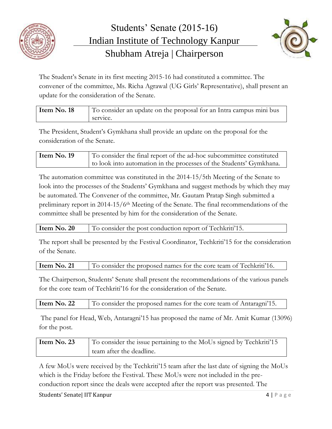



The Student's Senate in its first meeting 2015-16 had constituted a committee. The convener of the committee, Ms. Richa Agrawal (UG Girls' Representative), shall present an update for the consideration of the Senate.

| Item No. 18 | To consider an update on the proposal for an Intra campus mini bus |
|-------------|--------------------------------------------------------------------|
|             | service.                                                           |

The President, Student's Gymkhana shall provide an update on the proposal for the consideration of the Senate.

| Item No. 19 | To consider the final report of the ad-hoc subcommittee constituted |
|-------------|---------------------------------------------------------------------|
|             | to look into automation in the processes of the Students' Gymkhana. |

The automation committee was constituted in the 2014-15/5th Meeting of the Senate to look into the processes of the Students' Gymkhana and suggest methods by which they may be automated. The Convener of the committee, Mr. Gautam Pratap Singh submitted a preliminary report in 2014-15/6<sup>th</sup> Meeting of the Senate. The final recommendations of the committee shall be presented by him for the consideration of the Senate.

| Item No. 20<br>To consider the post conduction report of Techkriti'15. |
|------------------------------------------------------------------------|
|------------------------------------------------------------------------|

The report shall be presented by the Festival Coordinator, Techkriti'15 for the consideration of the Senate.

The Chairperson, Students' Senate shall present the recommendations of the various panels for the core team of Techkriti'16 for the consideration of the Senate.

| Item No. 22 | To consider the proposed names for the core team of Antaragni'15. |  |
|-------------|-------------------------------------------------------------------|--|
|-------------|-------------------------------------------------------------------|--|

The panel for Head, Web, Antaragni'15 has proposed the name of Mr. Amit Kumar (13096) for the post.

| Item $No. 23$ | To consider the issue pertaining to the MoUs signed by Techkriti'15 |
|---------------|---------------------------------------------------------------------|
|               | team after the deadline.                                            |

A few MoUs were received by the Techkriti'15 team after the last date of signing the MoUs which is the Friday before the Festival. These MoUs were not included in the preconduction report since the deals were accepted after the report was presented. The